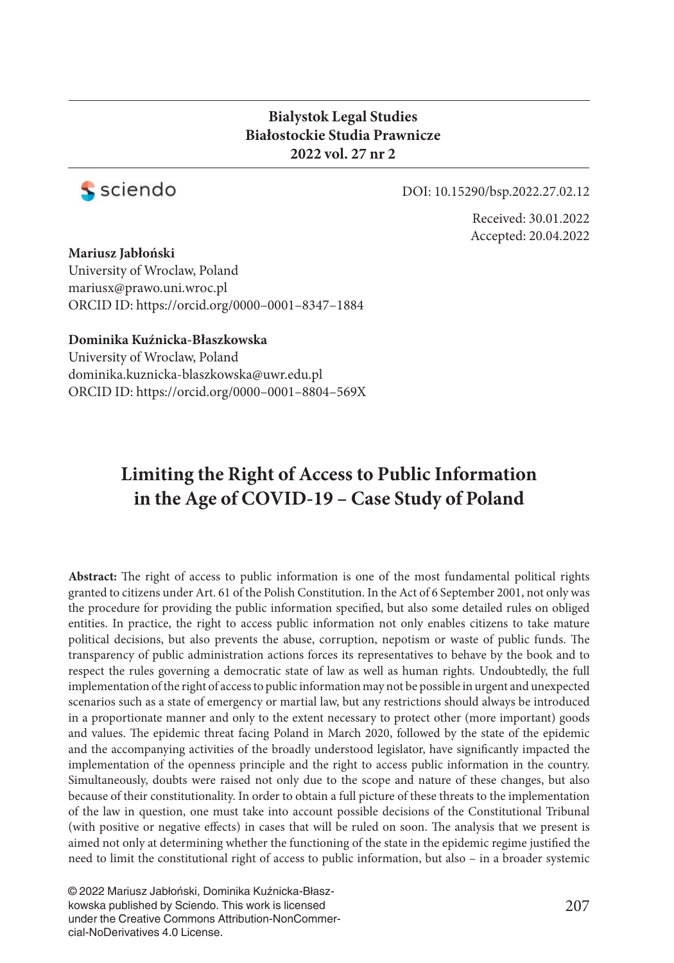#### **Bialystok Legal Studies Białostockie Studia Prawnicze 2022 vol. 27 nr 2**



DOI: 10.15290/bsp.2022.27.02.12

Received: 30.01.2022 Accepted: 20.04.2022

#### **Mariusz Jabłoński**

University of Wroclaw, Poland mariusx@prawo.uni.wroc.pl ORCID ID: https://orcid.org/0000–0001–8347–1884

#### **Dominika Kuźnicka-Błaszkowska**

University of Wroclaw, Poland dominika.kuznicka-blaszkowska@uwr.edu.pl ORCID ID: http s://orcid.org/0000–0001–8804–569X

# **Limiting the Right of Access to Public Information in the Age of COVID-19 – Case Study of Poland**

Abstract: The right of access to public information is one of the most fundamental political rights granted to citizens under Art. 61 of the Polish Constitution. In the Act of 6 September 2001, not only was the procedure for providing the public information specified, but also some detailed rules on obliged entities. In practice, the right to access public information not only enables citizens to take mature political decisions, but also prevents the abuse, corruption, nepotism or waste of public funds. The transparency of public administration actions forces its representatives to behave by the book and to respect the rules governing a democratic state of law as well as human rights. Undoubtedly, the full implementation of the right of access to public information may not be possible in urgent and unexpected scenarios such as a state of emergency or martial law, but any restrictions should always be introduced in a proportionate manner and only to the extent necessary to protect other (more important) goods and values. The epidemic threat facing Poland in March 2020, followed by the state of the epidemic and the accompanying activities of the broadly understood legislator, have significantly impacted the implementation of the openness principle and the right to access public information in the country. Simultaneously, doubts were raised not only due to the scope and nature of these changes, but also because of their constitutionality. In order to obtain a full picture of these threats to the implementation of the law in question, one must take into account possible decisions of the Constitutional Tribunal (with positive or negative effects) in cases that will be ruled on soon. The analysis that we present is aimed not only at determining whether the functioning of the state in the epidemic regime justified the need to limit the constitutional right of access to public information, but also – in a broader systemic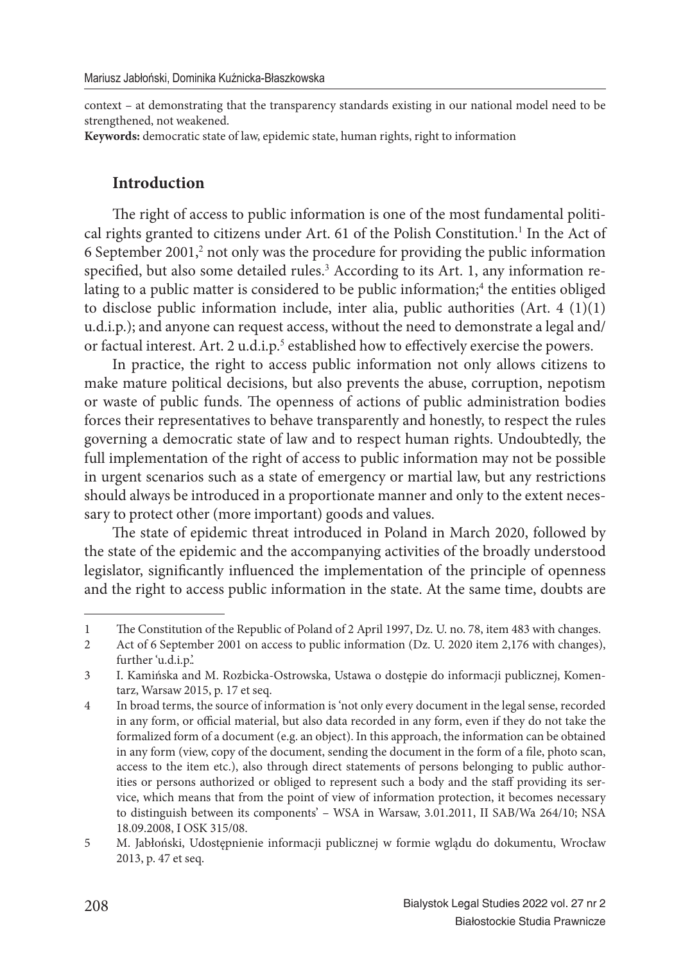context – at demonstrating that the transparency standards existing in our national model need to be strengthened, not weakened.

**Keywords:** democratic state of law, epidemic state, human rights, right to information

#### **Introduction**

The right of access to public information is one of the most fundamental political rights granted to citizens under Art. 61 of the Polish Constitution.<sup>1</sup> In the Act of 6 September 2001, $2$  not only was the procedure for providing the public information specified, but also some detailed rules.<sup>3</sup> According to its Art. 1, any information relating to a public matter is considered to be public information;<sup>4</sup> the entities obliged to disclose public information include, inter alia, public authorities (Art. 4 (1)(1) u.d.i.p.); and anyone can request access, without the need to demonstrate a legal and/ or factual interest. Art. 2 u.d.i.p.<sup>5</sup> established how to effectively exercise the powers.

In practice, the right to access public information not only allows citizens to make mature political decisions, but also prevents the abuse, corruption, nepotism or waste of public funds. The openness of actions of public administration bodies forces their representatives to behave transparently and honestly, to respect the rules governing a democratic state of law and to respect human rights. Undoubtedly, the full implementation of the right of access to public information may not be possible in urgent scenarios such as a state of emergency or martial law, but any restrictions should always be introduced in a proportionate manner and only to the extent necessary to protect other (more important) goods and values.

The state of epidemic threat introduced in Poland in March 2020, followed by the state of the epidemic and the accompanying activities of the broadly understood legislator, significantly influenced the implementation of the principle of openness and the right to access public information in the state. At the same time, doubts are

<sup>1</sup> The Constitution of the Republic of Poland of 2 April 1997, Dz. U. no. 78, item 483 with changes.

<sup>2</sup> Act of 6 September 2001 on access to public information (Dz. U. 2020 item 2,176 with changes), further 'u.d.i.p.'.

<sup>3</sup> I. Kamińska and M. Rozbicka-Ostrowska, Ustawa o dostępie do informacji publicznej, Komentarz, Warsaw 2015, p. 17 et seq.

<sup>4</sup> In broad terms, the source of information is 'not only every document in the legal sense, recorded in any form, or official material, but also data recorded in any form, even if they do not take the formalized form of a document (e.g. an object). In this approach, the information can be obtained in any form (view, copy of the document, sending the document in the form of a file, photo scan, access to the item etc.), also through direct statements of persons belonging to public authorities or persons authorized or obliged to represent such a body and the staff providing its service, which means that from the point of view of information protection, it becomes necessary to distinguish between its components' – WSA in Warsaw, 3.01.2011, II SAB/Wa 264/10; NSA 18.09.2008, I OSK 315/08.

<sup>5</sup> M. Jabłoński, Udostępnienie informacji publicznej w formie wglądu do dokumentu, Wrocław 2013, p. 47 et seq.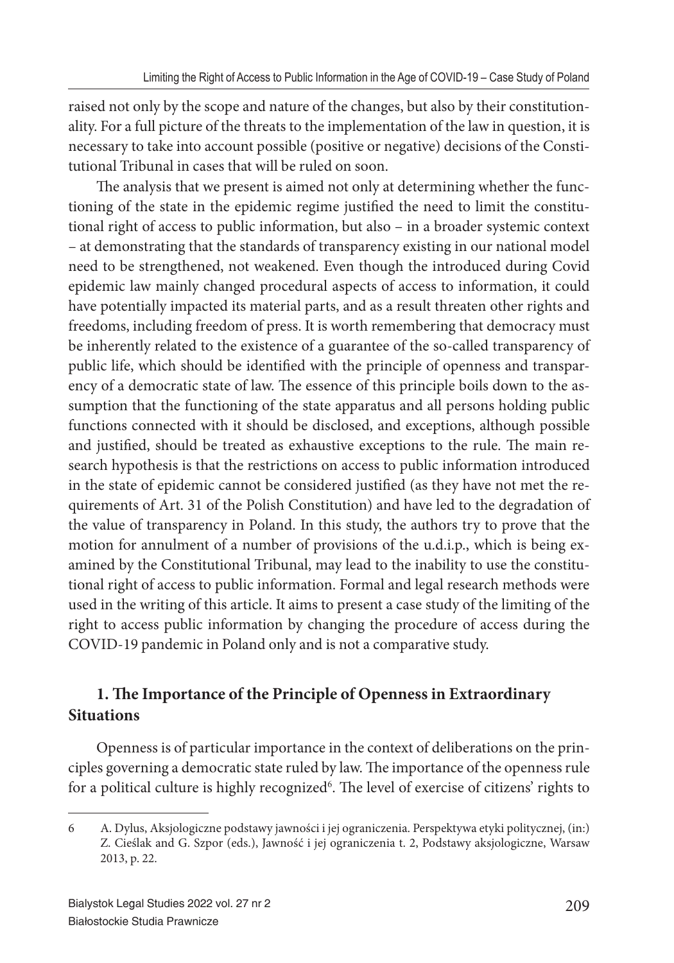raised not only by the scope and nature of the changes, but also by their constitutionality. For a full picture of the threats to the implementation of the law in question, it is necessary to take into account possible (positive or negative) decisions of the Constitutional Tribunal in cases that will be ruled on soon.

The analysis that we present is aimed not only at determining whether the functioning of the state in the epidemic regime justified the need to limit the constitutional right of access to public information, but also – in a broader systemic context – at demonstrating that the standards of transparency existing in our national model need to be strengthened, not weakened. Even though the introduced during Covid epidemic law mainly changed procedural aspects of access to information, it could have potentially impacted its material parts, and as a result threaten other rights and freedoms, including freedom of press. It is worth remembering that democracy must be inherently related to the existence of a guarantee of the so-called transparency of public life, which should be identified with the principle of openness and transparency of a democratic state of law. The essence of this principle boils down to the assumption that the functioning of the state apparatus and all persons holding public functions connected with it should be disclosed, and exceptions, although possible and justified, should be treated as exhaustive exceptions to the rule. The main research hypothesis is that the restrictions on access to public information introduced in the state of epidemic cannot be considered justified (as they have not met the requirements of Art. 31 of the Polish Constitution) and have led to the degradation of the value of transparency in Poland. In this study, the authors try to prove that the motion for annulment of a number of provisions of the u.d.i.p., which is being examined by the Constitutional Tribunal, may lead to the inability to use the constitutional right of access to public information. Formal and legal research methods were used in the writing of this article. It aims to present a case study of the limiting of the right to access public information by changing the procedure of access during the COVID-19 pandemic in Poland only and is not a comparative study.

# **1. The Importance of the Principle of Openness in Extraordinary Situations**

Openness is of particular importance in the context of deliberations on the principles governing a democratic state ruled by law. The importance of the openness rule for a political culture is highly recognized<sup>6</sup>. The level of exercise of citizens' rights to

<sup>6</sup> A. Dylus, Aksjologiczne podstawy jawności i jej ograniczenia. Perspektywa etyki politycznej, (in:) Z. Cieślak and G. Szpor (eds.), Jawność i jej ograniczenia t. 2, Podstawy aksjologiczne, Warsaw 2013, p. 22.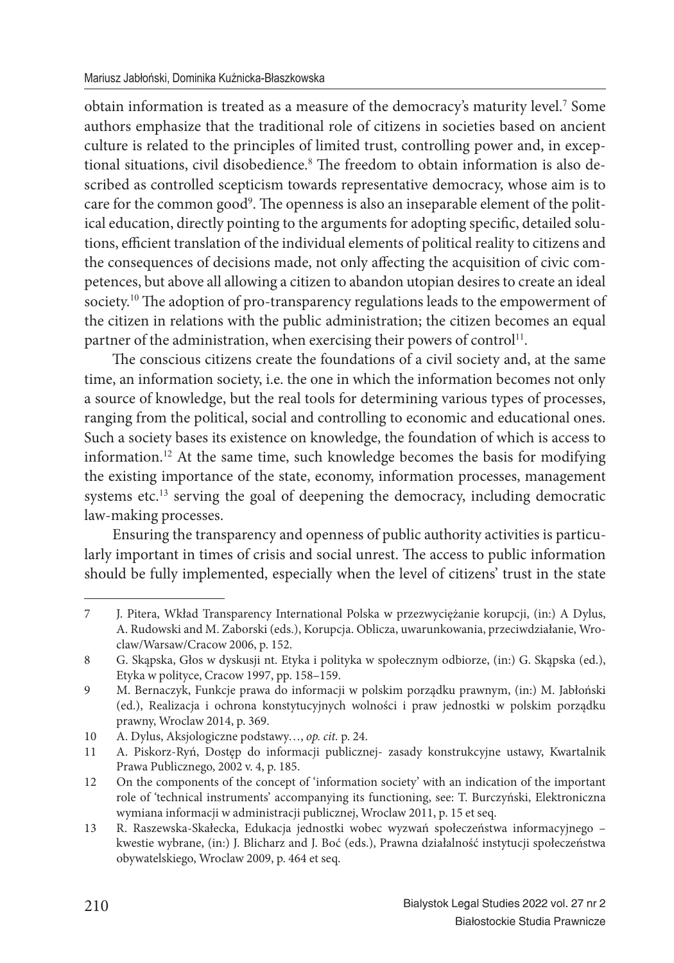obtain information is treated as a measure of the democracy's maturity level.<sup>7</sup> Some authors emphasize that the traditional role of citizens in societies based on ancient culture is related to the principles of limited trust, controlling power and, in exceptional situations, civil disobedience.<sup>8</sup> The freedom to obtain information is also described as controlled scepticism towards representative democracy, whose aim is to care for the common good<sup>9</sup>. The openness is also an inseparable element of the political education, directly pointing to the arguments for adopting specific, detailed solutions, efficient translation of the individual elements of political reality to citizens and the consequences of decisions made, not only affecting the acquisition of civic competences, but above all allowing a citizen to abandon utopian desires to create an ideal society.<sup>10</sup> The adoption of pro-transparency regulations leads to the empowerment of the citizen in relations with the public administration; the citizen becomes an equal partner of the administration, when exercising their powers of control<sup>11</sup>.

The conscious citizens create the foundations of a civil society and, at the same time, an information society, i.e. the one in which the information becomes not only a source of knowledge, but the real tools for determining various types of processes, ranging from the political, social and controlling to economic and educational ones. Such a society bases its existence on knowledge, the foundation of which is access to information.<sup>12</sup> At the same time, such knowledge becomes the basis for modifying the existing importance of the state, economy, information processes, management systems etc.<sup>13</sup> serving the goal of deepening the democracy, including democratic law-making processes.

Ensuring the transparency and openness of public authority activities is particularly important in times of crisis and social unrest. The access to public information should be fully implemented, especially when the level of citizens' trust in the state

<sup>7</sup> J. Pitera, Wkład Transparency International Polska w przezwyciężanie korupcji, (in:) A Dylus, A. Rudowski and M. Zaborski (eds.), Korupcja. Oblicza, uwarunkowania, przeciwdziałanie, Wroclaw/Warsaw/Cracow 2006, p. 152.

<sup>8</sup> G. Skąpska, Głos w dyskusji nt. Etyka i polityka w społecznym odbiorze, (in:) G. Skąpska (ed.), Etyka w polityce, Cracow 1997, pp. 158–159.

<sup>9</sup> M. Bernaczyk, Funkcje prawa do informacji w polskim porządku prawnym, (in:) M. Jabłoński (ed.), Realizacja i ochrona konstytucyjnych wolności i praw jednostki w polskim porządku prawny, Wroclaw 2014, p. 369.

<sup>10</sup> A. Dylus, Aksjologiczne podstawy…, *op. cit.* p. 24.

<sup>11</sup> A. Piskorz-Ryń, Dostęp do informacji publicznej- zasady konstrukcyjne ustawy, Kwartalnik Prawa Publicznego, 2002 v. 4, p. 185.

<sup>12</sup> On the components of the concept of 'information society' with an indication of the important role of 'technical instruments' accompanying its functioning, see: T. Burczyński, Elektroniczna wymiana informacji w administracji publicznej, Wroclaw 2011, p. 15 et seq.

<sup>13</sup> R. Raszewska-Skałecka, Edukacja jednostki wobec wyzwań społeczeństwa informacyjnego – kwestie wybrane, (in:) J. Blicharz and J. Boć (eds.), Prawna działalność instytucji społeczeństwa obywatelskiego, Wroclaw 2009, p. 464 et seq.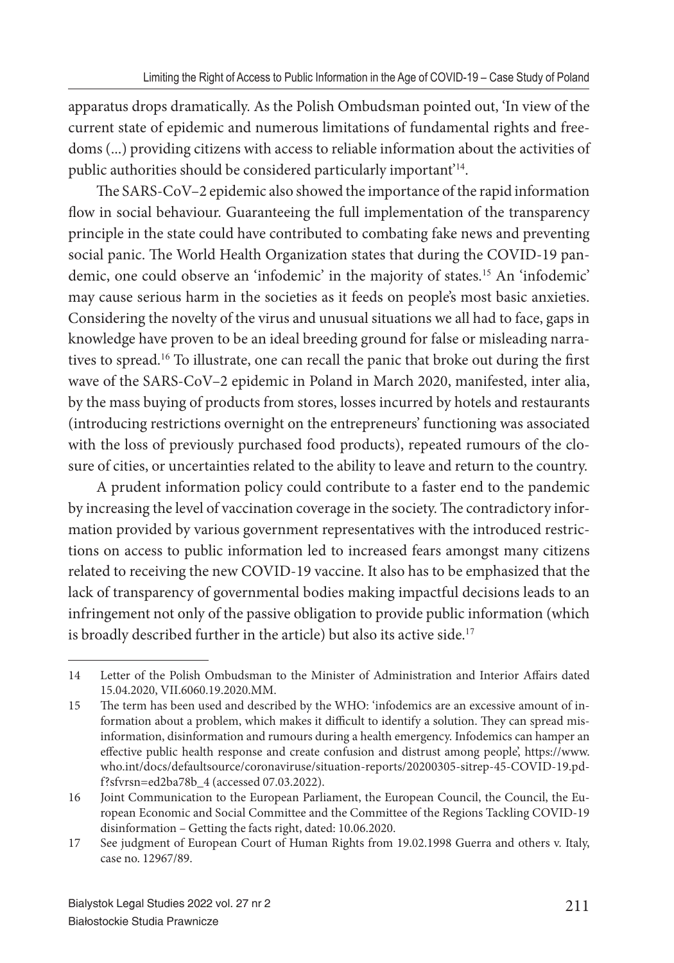apparatus drops dramatically. As the Polish Ombudsman pointed out, 'In view of the current state of epidemic and numerous limitations of fundamental rights and freedoms (...) providing citizens with access to reliable information about the activities of public authorities should be considered particularly important'<sup>14</sup>.

The SARS-CoV–2 epidemic also showed the importance of the rapid information flow in social behaviour. Guaranteeing the full implementation of the transparency principle in the state could have contributed to combating fake news and preventing social panic. The World Health Organization states that during the COVID-19 pandemic, one could observe an 'infodemic' in the majority of states.<sup>15</sup> An 'infodemic' may cause serious harm in the societies as it feeds on people's most basic anxieties. Considering the novelty of the virus and unusual situations we all had to face, gaps in knowledge have proven to be an ideal breeding ground for false or misleading narratives to spread.<sup>16</sup> To illustrate, one can recall the panic that broke out during the first wave of the SARS-CoV–2 epidemic in Poland in March 2020, manifested, inter alia, by the mass buying of products from stores, losses incurred by hotels and restaurants (introducing restrictions overnight on the entrepreneurs' functioning was associated with the loss of previously purchased food products), repeated rumours of the closure of cities, or uncertainties related to the ability to leave and return to the country.

A prudent information policy could contribute to a faster end to the pandemic by increasing the level of vaccination coverage in the society. The contradictory information provided by various government representatives with the introduced restrictions on access to public information led to increased fears amongst many citizens related to receiving the new COVID-19 vaccine. It also has to be emphasized that the lack of transparency of governmental bodies making impactful decisions leads to an infringement not only of the passive obligation to provide public information (which is broadly described further in the article) but also its active side.<sup>17</sup>

<sup>14</sup> Letter of the Polish Ombudsman to the Minister of Administration and Interior Affairs dated 15.04.2020, VII.6060.19.2020.MM.

<sup>15</sup> The term has been used and described by the WHO: 'infodemics are an excessive amount of information about a problem, which makes it difficult to identify a solution. They can spread misinformation, disinformation and rumours during a health emergency. Infodemics can hamper an effective public health response and create confusion and distrust among people', https://www. who.int/docs/defaultsource/coronaviruse/situation-reports/20200305-sitrep-45-COVID-19.pdf?sfvrsn=ed2ba78b\_4 (accessed 07.03.2022).

<sup>16</sup> Joint Communication to the European Parliament, the European Council, the Council, the European Economic and Social Committee and the Committee of the Regions Tackling COVID-19 disinformation – Getting the facts right, dated: 10.06.2020.

<sup>17</sup> See judgment of European Court of Human Rights from 19.02.1998 Guerra and others v. Italy, case no. 12967/89.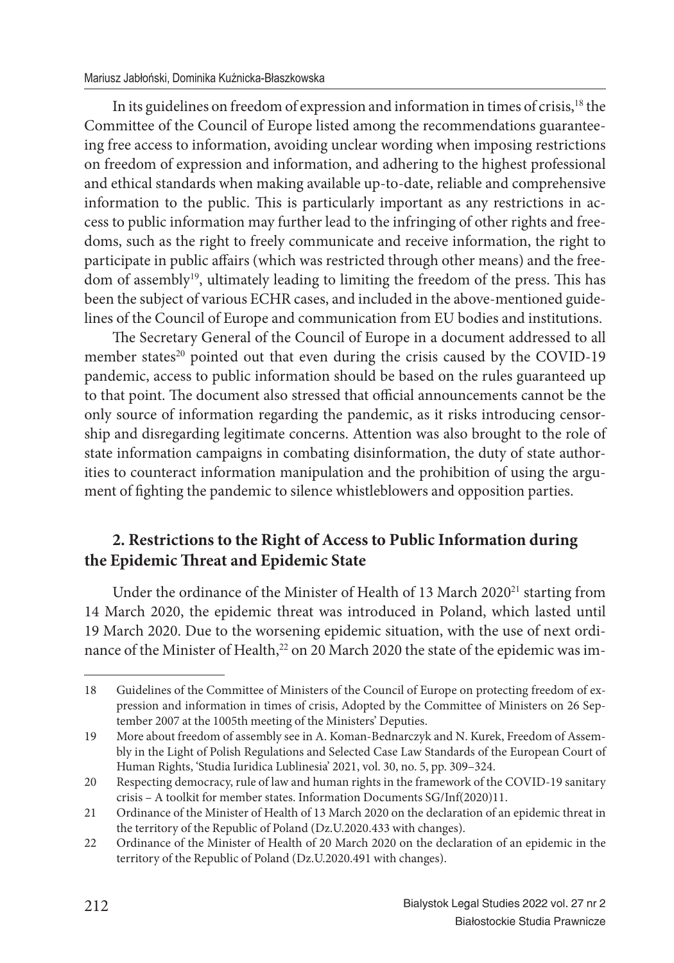In its guidelines on freedom of expression and information in times of crisis,<sup>18</sup> the Committee of the Council of Europe listed among the recommendations guaranteeing free access to information, avoiding unclear wording when imposing restrictions on freedom of expression and information, and adhering to the highest professional and ethical standards when making available up-to-date, reliable and comprehensive information to the public. This is particularly important as any restrictions in access to public information may further lead to the infringing of other rights and freedoms, such as the right to freely communicate and receive information, the right to participate in public affairs (which was restricted through other means) and the freedom of assembly<sup>19</sup>, ultimately leading to limiting the freedom of the press. This has been the subject of various ECHR cases, and included in the above-mentioned guidelines of the Council of Europe and communication from EU bodies and institutions.

The Secretary General of the Council of Europe in a document addressed to all member states<sup>20</sup> pointed out that even during the crisis caused by the COVID-19 pandemic, access to public information should be based on the rules guaranteed up to that point. The document also stressed that official announcements cannot be the only source of information regarding the pandemic, as it risks introducing censorship and disregarding legitimate concerns. Attention was also brought to the role of state information campaigns in combating disinformation, the duty of state authorities to counteract information manipulation and the prohibition of using the argument of fighting the pandemic to silence whistleblowers and opposition parties.

# **2. Restrictions to the Right of Access to Public Information during the Epidemic Th reat and Epidemic State**

Under the ordinance of the Minister of Health of 13 March 2020<sup>21</sup> starting from 14 March 2020, the epidemic threat was introduced in Poland, which lasted until 19 March 2020. Due to the worsening epidemic situation, with the use of next ordinance of the Minister of Health,<sup>22</sup> on 20 March 2020 the state of the epidemic was im-

<sup>18</sup> Guidelines of the Committee of Ministers of the Council of Europe on protecting freedom of expression and information in times of crisis, Adopted by the Committee of Ministers on 26 September 2007 at the 1005th meeting of the Ministers' Deputies.

<sup>19</sup> More about freedom of assembly see in A. Koman-Bednarczyk and N. Kurek, Freedom of Assembly in the Light of Polish Regulations and Selected Case Law Standards of the European Court of Human Rights, 'Studia Iuridica Lublinesia' 2021, vol. 30, no. 5, pp. 309–324.

<sup>20</sup> Respecting democracy, rule of law and human rights in the framework of the COVID-19 sanitary crisis – A toolkit for member states. Information Documents SG/Inf(2020)11.

<sup>21</sup> Ordinance of the Minister of Health of 13 March 2020 on the declaration of an epidemic threat in the territory of the Republic of Poland (Dz.U.2020.433 with changes).

<sup>22</sup> Ordinance of the Minister of Health of 20 March 2020 on the declaration of an epidemic in the territory of the Republic of Poland (Dz.U.2020.491 with changes).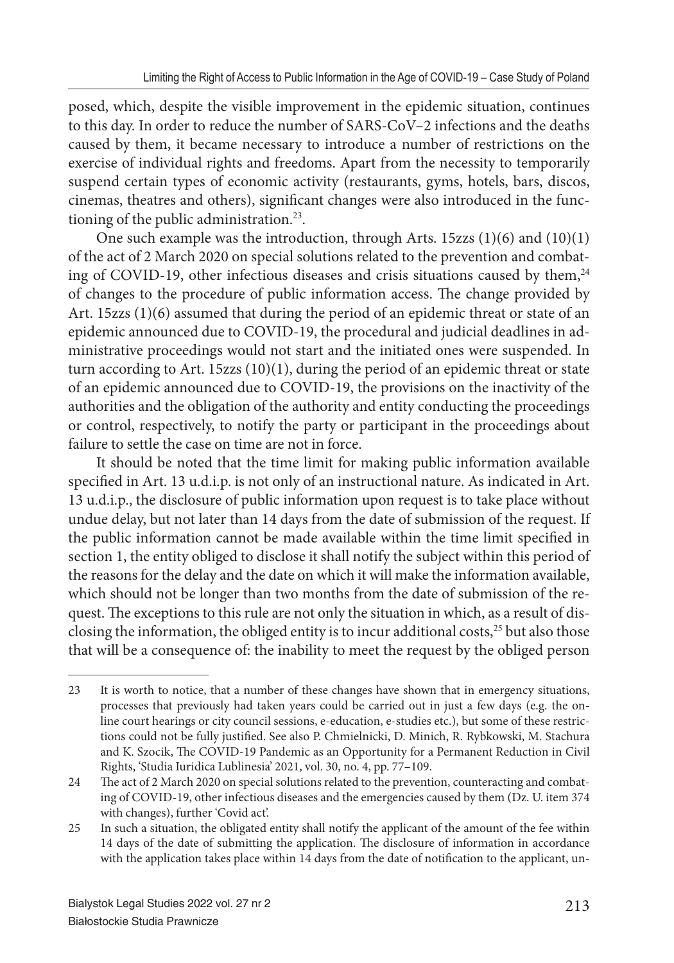posed, which, despite the visible improvement in the epidemic situation, continues to this day. In order to reduce the number of SARS-CoV–2 infections and the deaths caused by them, it became necessary to introduce a number of restrictions on the exercise of individual rights and freedoms. Apart from the necessity to temporarily suspend certain types of economic activity (restaurants, gyms, hotels, bars, discos, cinemas, theatres and others), significant changes were also introduced in the functioning of the public administration.<sup>23</sup>.

One such example was the introduction, through Arts. 15zzs (1)(6) and (10)(1) of the act of 2 March 2020 on special solutions related to the prevention and combating of COVID-19, other infectious diseases and crisis situations caused by them,<sup>24</sup> of changes to the procedure of public information access. The change provided by Art. 15zzs (1)(6) assumed that during the period of an epidemic threat or state of an epidemic announced due to COVID-19, the procedural and judicial deadlines in administrative proceedings would not start and the initiated ones were suspended. In turn according to Art. 15zzs  $(10)(1)$ , during the period of an epidemic threat or state of an epidemic announced due to COVID-19, the provisions on the inactivity of the authorities and the obligation of the authority and entity conducting the proceedings or control, respectively, to notify the party or participant in the proceedings about failure to settle the case on time are not in force.

It should be noted that the time limit for making public information available specified in Art. 13 u.d.i.p. is not only of an instructional nature. As indicated in Art. 13 u.d.i.p., the disclosure of public information upon request is to take place without undue delay, but not later than 14 days from the date of submission of the request. If the public information cannot be made available within the time limit specified in section 1, the entity obliged to disclose it shall notify the subject within this period of the reasons for the delay and the date on which it will make the information available, which should not be longer than two months from the date of submission of the request. The exceptions to this rule are not only the situation in which, as a result of disclosing the information, the obliged entity is to incur additional costs,<sup>25</sup> but also those that will be a consequence of: the inability to meet the request by the obliged person

<sup>23</sup> It is worth to notice, that a number of these changes have shown that in emergency situations, processes that previously had taken years could be carried out in just a few days (e.g. the online court hearings or city council sessions, e-education, e-studies etc.), but some of these restrictions could not be fully justified. See also P. Chmielnicki, D. Minich, R. Rybkowski, M. Stachura and K. Szocik, The COVID-19 Pandemic as an Opportunity for a Permanent Reduction in Civil Rights, 'Studia Iuridica Lublinesia' 2021, vol. 30, no. 4, pp. 77–109.

<sup>24</sup> The act of 2 March 2020 on special solutions related to the prevention, counteracting and combating of COVID-19, other infectious diseases and the emergencies caused by them (Dz. U. item 374 with changes), further 'Covid act'.

<sup>25</sup> In such a situation, the obligated entity shall notify the applicant of the amount of the fee within 14 days of the date of submitting the application. The disclosure of information in accordance with the application takes place within 14 days from the date of notification to the applicant, un-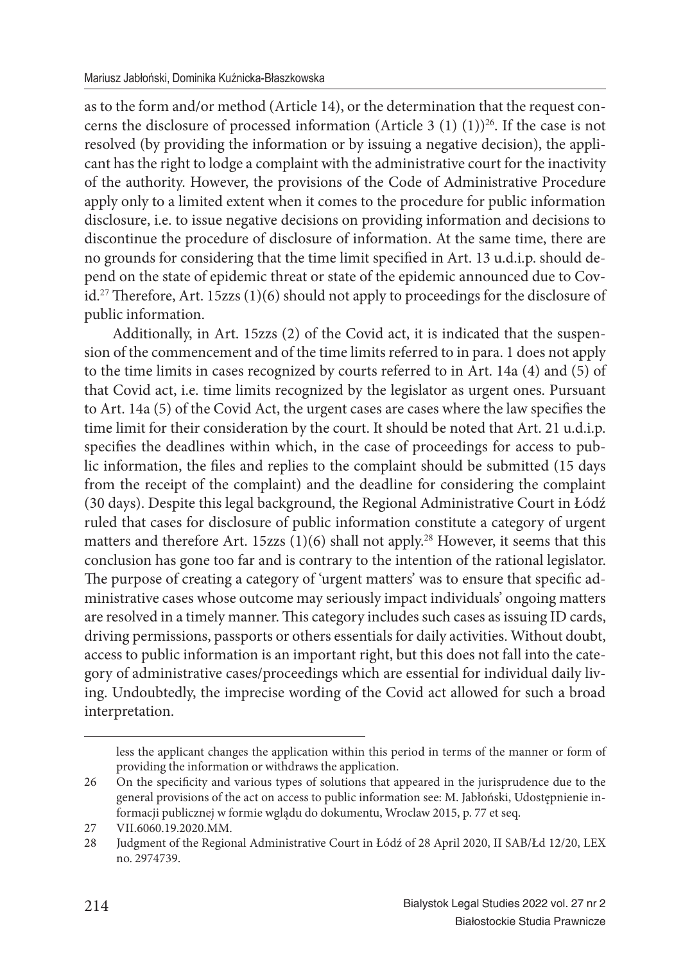as to the form and/or method (Article 14), or the determination that the request concerns the disclosure of processed information (Article 3  $(1)$   $(1)$ )<sup>26</sup>. If the case is not resolved (by providing the information or by issuing a negative decision), the applicant has the right to lodge a complaint with the administrative court for the inactivity of the authority. However, the provisions of the Code of Administrative Procedure apply only to a limited extent when it comes to the procedure for public information disclosure, i.e. to issue negative decisions on providing information and decisions to discontinue the procedure of disclosure of information. At the same time, there are no grounds for considering that the time limit specified in Art. 13 u.d.i.p. should depend on the state of epidemic threat or state of the epidemic announced due to Covid.<sup>27</sup> Therefore, Art. 15zzs  $(1)(6)$  should not apply to proceedings for the disclosure of public information.

Additionally, in Art. 15zzs (2) of the Covid act, it is indicated that the suspension of the commencement and of the time limits referred to in para. 1 does not apply to the time limits in cases recognized by courts referred to in Art. 14a (4) and (5) of that Covid act, i.e. time limits recognized by the legislator as urgent ones. Pursuant to Art. 14a (5) of the Covid Act, the urgent cases are cases where the law specifies the time limit for their consideration by the court. It should be noted that Art. 21 u.d.i.p. specifies the deadlines within which, in the case of proceedings for access to public information, the files and replies to the complaint should be submitted (15 days from the receipt of the complaint) and the deadline for considering the complaint (30 days). Despite this legal background, the Regional Administrative Court in Łódź ruled that cases for disclosure of public information constitute a category of urgent matters and therefore Art. 15zzs  $(1)(6)$  shall not apply.<sup>28</sup> However, it seems that this conclusion has gone too far and is contrary to the intention of the rational legislator. The purpose of creating a category of 'urgent matters' was to ensure that specific administrative cases whose outcome may seriously impact individuals' ongoing matters are resolved in a timely manner. This category includes such cases as issuing ID cards, driving permissions, passports or others essentials for daily activities. Without doubt, access to public information is an important right, but this does not fall into the category of administrative cases/proceedings which are essential for individual daily living. Undoubtedly, the imprecise wording of the Covid act allowed for such a broad interpretation.

less the applicant changes the application within this period in terms of the manner or form of providing the information or withdraws the application.

<sup>26</sup> On the specificity and various types of solutions that appeared in the jurisprudence due to the general provisions of the act on access to public information see: M. Jabłoński, Udostępnienie informacji publicznej w formie wglądu do dokumentu, Wroclaw 2015, p. 77 et seq.

<sup>27</sup> VII.6060.19.2020.MM.

<sup>28</sup> Judgment of the Regional Administrative Court in Łódź of 28 April 2020, II SAB/Łd 12/20, LEX no. 2974739.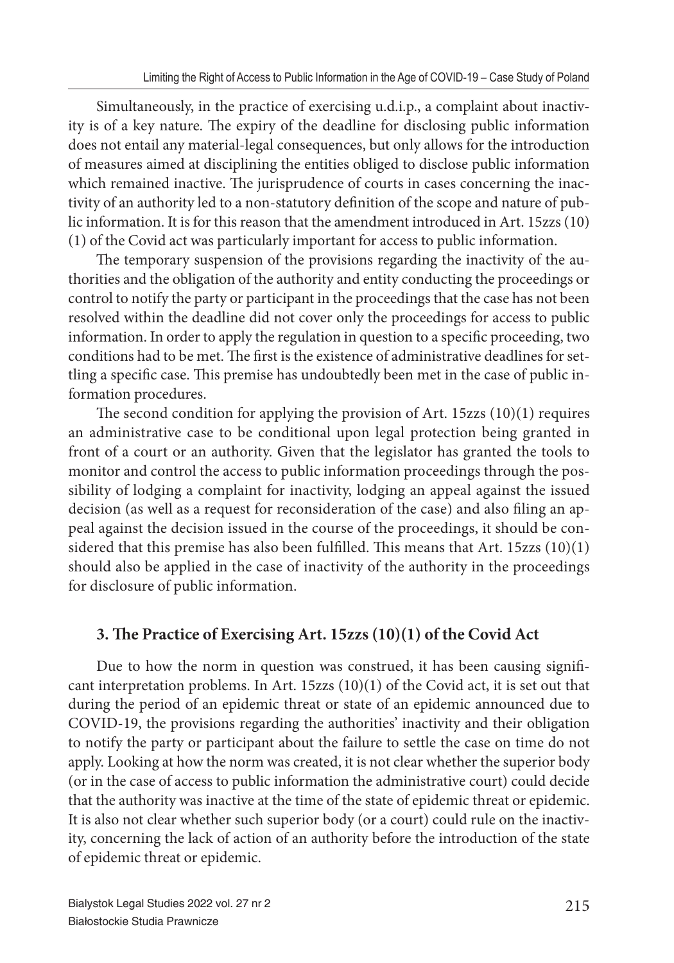Simultaneously, in the practice of exercising u.d.i.p., a complaint about inactivity is of a key nature. The expiry of the deadline for disclosing public information does not entail any material-legal consequences, but only allows for the introduction of measures aimed at disciplining the entities obliged to disclose public information which remained inactive. The jurisprudence of courts in cases concerning the inactivity of an authority led to a non-statutory definition of the scope and nature of public information. It is for this reason that the amendment introduced in Art. 15zzs (10) (1) of the Covid act was particularly important for access to public information.

The temporary suspension of the provisions regarding the inactivity of the authorities and the obligation of the authority and entity conducting the proceedings or control to notify the party or participant in the proceedings that the case has not been resolved within the deadline did not cover only the proceedings for access to public information. In order to apply the regulation in question to a specific proceeding, two conditions had to be met. The first is the existence of administrative deadlines for settling a specific case. This premise has undoubtedly been met in the case of public information procedures.

The second condition for applying the provision of Art. 15zzs  $(10)(1)$  requires an administrative case to be conditional upon legal protection being granted in front of a court or an authority. Given that the legislator has granted the tools to monitor and control the access to public information proceedings through the possibility of lodging a complaint for inactivity, lodging an appeal against the issued decision (as well as a request for reconsideration of the case) and also filing an appeal against the decision issued in the course of the proceedings, it should be considered that this premise has also been fulfilled. This means that Art.  $15zzs (10)(1)$ should also be applied in the case of inactivity of the authority in the proceedings for disclosure of public information.

## **3. The Practice of Exercising Art. 15zzs (10)(1) of the Covid Act**

Due to how the norm in question was construed, it has been causing significant interpretation problems. In Art. 15zzs (10)(1) of the Covid act, it is set out that during the period of an epidemic threat or state of an epidemic announced due to COVID-19, the provisions regarding the authorities' inactivity and their obligation to notify the party or participant about the failure to settle the case on time do not apply. Looking at how the norm was created, it is not clear whether the superior body (or in the case of access to public information the administrative court) could decide that the authority was inactive at the time of the state of epidemic threat or epidemic. It is also not clear whether such superior body (or a court) could rule on the inactivity, concerning the lack of action of an authority before the introduction of the state of epidemic threat or epidemic.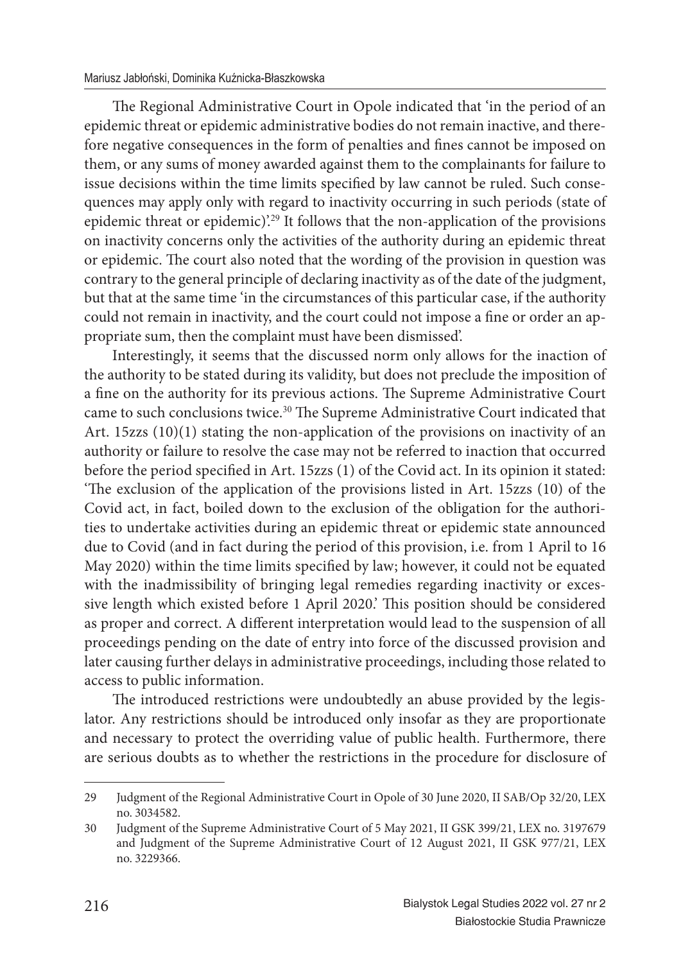The Regional Administrative Court in Opole indicated that 'in the period of an epidemic threat or epidemic administrative bodies do not remain inactive, and therefore negative consequences in the form of penalties and fines cannot be imposed on them, or any sums of money awarded against them to the complainants for failure to issue decisions within the time limits specified by law cannot be ruled. Such consequences may apply only with regard to inactivity occurring in such periods (state of epidemic threat or epidemic).<sup>29</sup> It follows that the non-application of the provisions on inactivity concerns only the activities of the authority during an epidemic threat or epidemic. The court also noted that the wording of the provision in question was contrary to the general principle of declaring inactivity as of the date of the judgment, but that at the same time 'in the circumstances of this particular case, if the authority could not remain in inactivity, and the court could not impose a fine or order an appropriate sum, then the complaint must have been dismissed'.

Interestingly, it seems that the discussed norm only allows for the inaction of the authority to be stated during its validity, but does not preclude the imposition of a fine on the authority for its previous actions. The Supreme Administrative Court came to such conclusions twice.<sup>30</sup> The Supreme Administrative Court indicated that Art. 15zzs (10)(1) stating the non-application of the provisions on inactivity of an authority or failure to resolve the case may not be referred to inaction that occurred before the period specified in Art. 15zzs (1) of the Covid act. In its opinion it stated: 'The exclusion of the application of the provisions listed in Art. 15zzs (10) of the Covid act, in fact, boiled down to the exclusion of the obligation for the authorities to undertake activities during an epidemic threat or epidemic state announced due to Covid (and in fact during the period of this provision, i.e. from 1 April to 16 May 2020) within the time limits specified by law; however, it could not be equated with the inadmissibility of bringing legal remedies regarding inactivity or excessive length which existed before 1 April 2020.' This position should be considered as proper and correct. A different interpretation would lead to the suspension of all proceedings pending on the date of entry into force of the discussed provision and later causing further delays in administrative proceedings, including those related to access to public information.

The introduced restrictions were undoubtedly an abuse provided by the legislator. Any restrictions should be introduced only insofar as they are proportionate and necessary to protect the overriding value of public health. Furthermore, there are serious doubts as to whether the restrictions in the procedure for disclosure of

<sup>29</sup> Judgment of the Regional Administrative Court in Opole of 30 June 2020, II SAB/Op 32/20, LEX no. 3034582.

<sup>30</sup> Judgment of the Supreme Administrative Court of 5 May 2021, II GSK 399/21, LEX no. 3197679 and Judgment of the Supreme Administrative Court of 12 August 2021, II GSK 977/21, LEX no. 3229366.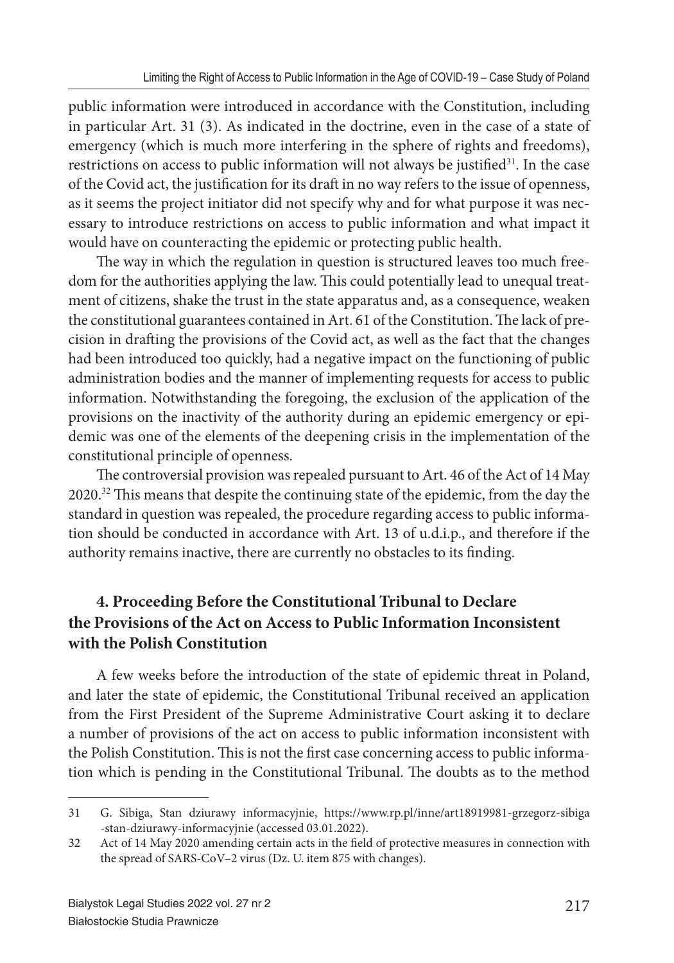public information were introduced in accordance with the Constitution, including in particular Art. 31 (3). As indicated in the doctrine, even in the case of a state of emergency (which is much more interfering in the sphere of rights and freedoms), restrictions on access to public information will not always be justified $31$ . In the case of the Covid act, the justification for its draft in no way refers to the issue of openness, as it seems the project initiator did not specify why and for what purpose it was necessary to introduce restrictions on access to public information and what impact it would have on counteracting the epidemic or protecting public health.

The way in which the regulation in question is structured leaves too much freedom for the authorities applying the law. This could potentially lead to unequal treatment of citizens, shake the trust in the state apparatus and, as a consequence, weaken the constitutional guarantees contained in Art. 61 of the Constitution. The lack of precision in drafting the provisions of the Covid act, as well as the fact that the changes had been introduced too quickly, had a negative impact on the functioning of public administration bodies and the manner of implementing requests for access to public information. Notwithstanding the foregoing, the exclusion of the application of the provisions on the inactivity of the authority during an epidemic emergency or epidemic was one of the elements of the deepening crisis in the implementation of the constitutional principle of openness.

The controversial provision was repealed pursuant to Art. 46 of the Act of 14 May 2020.<sup>32</sup> This means that despite the continuing state of the epidemic, from the day the standard in question was repealed, the procedure regarding access to public information should be conducted in accordance with Art. 13 of u.d.i.p., and therefore if the authority remains inactive, there are currently no obstacles to its finding.

# **4. Proceeding Before the Constitutional Tribunal to Declare the Provisions of the Act on Access to Public Information Inconsistent with the Polish Constitution**

A few weeks before the introduction of the state of epidemic threat in Poland, and later the state of epidemic, the Constitutional Tribunal received an application from the First President of the Supreme Administrative Court asking it to declare a number of provisions of the act on access to public information inconsistent with the Polish Constitution. This is not the first case concerning access to public information which is pending in the Constitutional Tribunal. The doubts as to the method

<sup>31</sup> G. Sibiga, Stan dziurawy informacyjnie, https://www.rp.pl/inne/art18919981-grzegorz-sibiga -stan-dziurawy-informacyjnie (accessed 03.01.2022).

<sup>32</sup> Act of 14 May 2020 amending certain acts in the field of protective measures in connection with the spread of SARS-CoV–2 virus (Dz. U. item 875 with changes).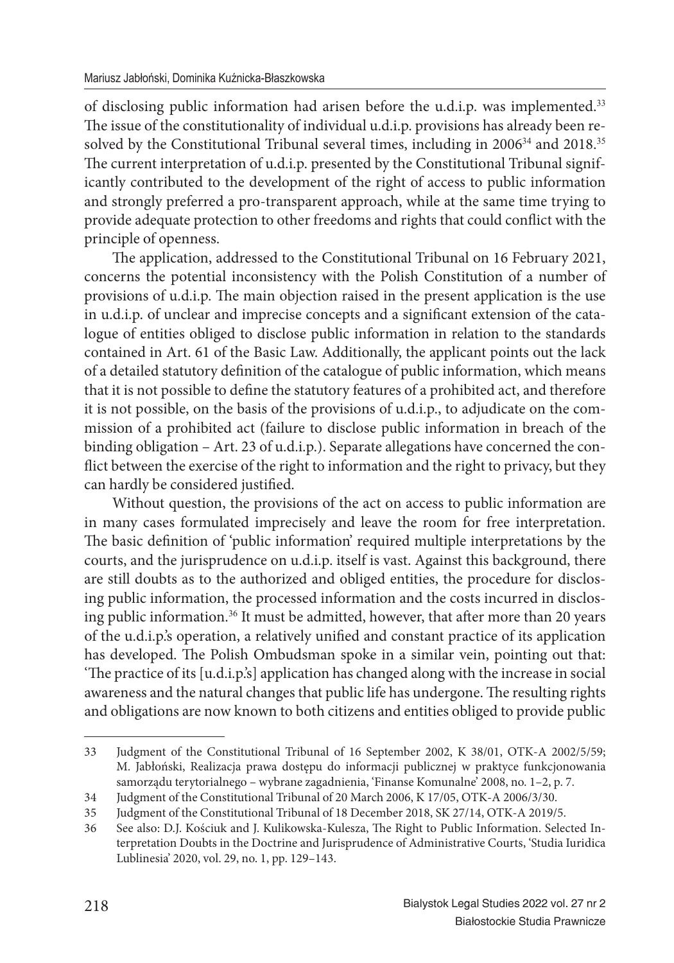of disclosing public information had arisen before the u.d.i.p. was implemented.<sup>33</sup> The issue of the constitutionality of individual u.d.i.p. provisions has already been resolved by the Constitutional Tribunal several times, including in 2006<sup>34</sup> and 2018.<sup>35</sup> The current interpretation of u.d.i.p. presented by the Constitutional Tribunal significantly contributed to the development of the right of access to public information and strongly preferred a pro-transparent approach, while at the same time trying to provide adequate protection to other freedoms and rights that could conflict with the principle of openness.

The application, addressed to the Constitutional Tribunal on 16 February 2021, concerns the potential inconsistency with the Polish Constitution of a number of provisions of u.d.i.p. The main objection raised in the present application is the use in u.d.i.p. of unclear and imprecise concepts and a significant extension of the catalogue of entities obliged to disclose public information in relation to the standards contained in Art. 61 of the Basic Law. Additionally, the applicant points out the lack of a detailed statutory definition of the catalogue of public information, which means that it is not possible to define the statutory features of a prohibited act, and therefore it is not possible, on the basis of the provisions of u.d.i.p., to adjudicate on the commission of a prohibited act (failure to disclose public information in breach of the binding obligation – Art. 23 of u.d.i.p.). Separate allegations have concerned the conflict between the exercise of the right to information and the right to privacy, but they can hardly be considered justified.

Without question, the provisions of the act on access to public information are in many cases formulated imprecisely and leave the room for free interpretation. The basic definition of 'public information' required multiple interpretations by the courts, and the jurisprudence on u.d.i.p. itself is vast. Against this background, there are still doubts as to the authorized and obliged entities, the procedure for disclosing public information, the processed information and the costs incurred in disclosing public information.<sup>36</sup> It must be admitted, however, that after more than 20 years of the u.d.i.p.'s operation, a relatively unified and constant practice of its application has developed. The Polish Ombudsman spoke in a similar vein, pointing out that: 'The practice of its [u.d.i.p.'s] application has changed along with the increase in social awareness and the natural changes that public life has undergone. The resulting rights and obligations are now known to both citizens and entities obliged to provide public

<sup>33</sup> Judgment of the Constitutional Tribunal of 16 September 2002, K 38/01, OTK-A 2002/5/59; M. Jabłoński, Realizacja prawa dostępu do informacji publicznej w praktyce funkcjonowania samorządu terytorialnego – wybrane zagadnienia, 'Finanse Komunalne' 2008, no. 1–2, p. 7.

<sup>34</sup> Judgment of the Constitutional Tribunal of 20 March 2006, K 17/05, OTK-A 2006/3/30.

<sup>35</sup> Judgment of the Constitutional Tribunal of 18 December 2018, SK 27/14, OTK-A 2019/5.

<sup>36</sup> See also: D.J. Kościuk and J. Kulikowska-Kulesza, The Right to Public Information. Selected Interpretation Doubts in the Doctrine and Jurisprudence of Administrative Courts, 'Studia Iuridica Lublinesia' 2020, vol. 29, no. 1, pp. 129–143.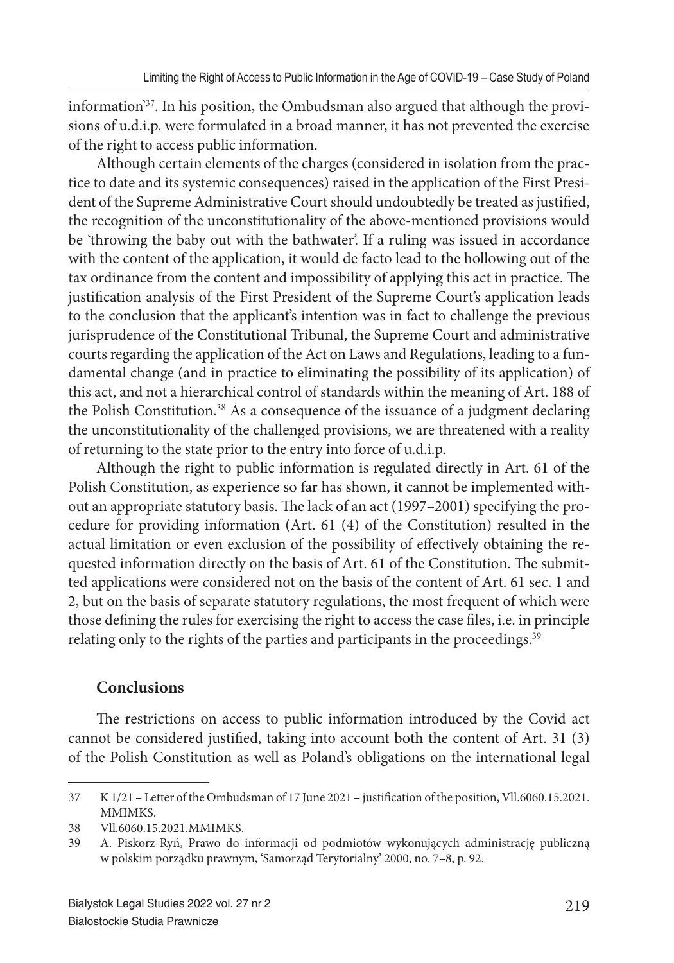information'37. In his position, the Ombudsman also argued that although the provisions of u.d.i.p. were formulated in a broad manner, it has not prevented the exercise of the right to access public information.

Although certain elements of the charges (considered in isolation from the practice to date and its systemic consequences) raised in the application of the First President of the Supreme Administrative Court should undoubtedly be treated as justified, the recognition of the unconstitutionality of the above-mentioned provisions would be 'throwing the baby out with the bathwater'. If a ruling was issued in accordance with the content of the application, it would de facto lead to the hollowing out of the tax ordinance from the content and impossibility of applying this act in practice. The justification analysis of the First President of the Supreme Court's application leads to the conclusion that the applicant's intention was in fact to challenge the previous jurisprudence of the Constitutional Tribunal, the Supreme Court and administrative courts regarding the application of the Act on Laws and Regulations, leading to a fundamental change (and in practice to eliminating the possibility of its application) of this act, and not a hierarchical control of standards within the meaning of Art. 188 of the Polish Constitution.<sup>38</sup> As a consequence of the issuance of a judgment declaring the unconstitutionality of the challenged provisions, we are threatened with a reality of returning to the state prior to the entry into force of u.d.i.p.

Although the right to public information is regulated directly in Art. 61 of the Polish Constitution, as experience so far has shown, it cannot be implemented without an appropriate statutory basis. The lack of an act (1997–2001) specifying the procedure for providing information (Art. 61 (4) of the Constitution) resulted in the actual limitation or even exclusion of the possibility of effectively obtaining the requested information directly on the basis of Art. 61 of the Constitution. The submitted applications were considered not on the basis of the content of Art. 61 sec. 1 and 2, but on the basis of separate statutory regulations, the most frequent of which were those defining the rules for exercising the right to access the case files, i.e. in principle relating only to the rights of the parties and participants in the proceedings.<sup>39</sup>

## **Conclusions**

The restrictions on access to public information introduced by the Covid act cannot be considered justified, taking into account both the content of Art. 31 (3) of the Polish Constitution as well as Poland's obligations on the international legal

<sup>37</sup> K 1/21 – Letter of the Ombudsman of 17 June 2021 – justifi cation of the position, Vll.6060.15.2021. MMIMKS.

<sup>38</sup> Vll.6060.15.2021.MMIMKS.

<sup>39</sup> A. Piskorz-Ryń, Prawo do informacji od podmiotów wykonujących administrację publiczną w polskim porządku prawnym, 'Samorząd Terytorialny' 2000, no. 7–8, p. 92.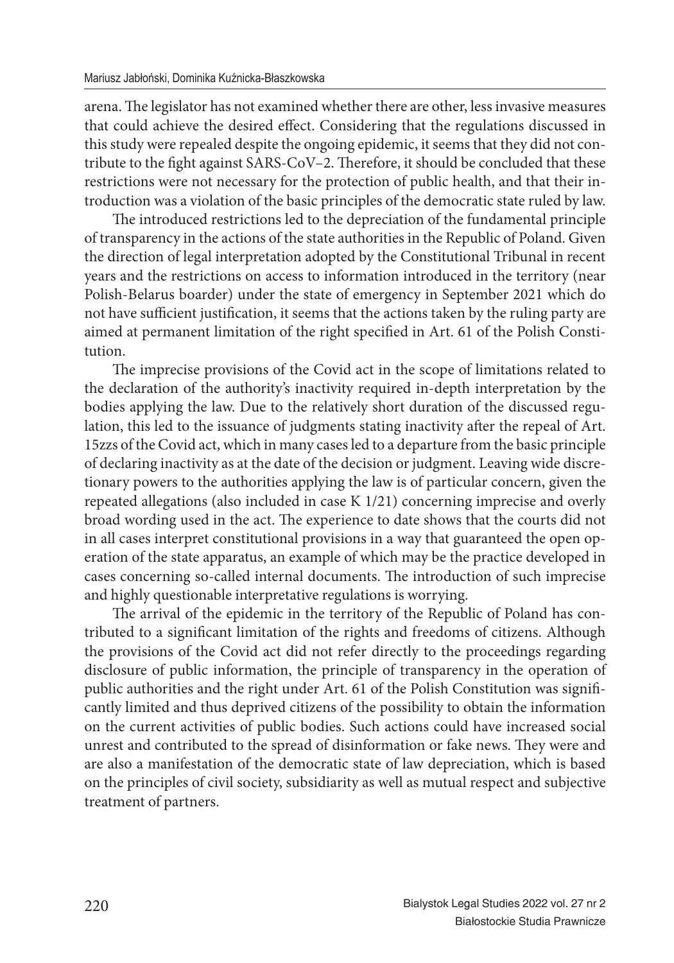arena. The legislator has not examined whether there are other, less invasive measures that could achieve the desired effect. Considering that the regulations discussed in this study were repealed despite the ongoing epidemic, it seems that they did not contribute to the fight against SARS-CoV-2. Therefore, it should be concluded that these restrictions were not necessary for the protection of public health, and that their introduction was a violation of the basic principles of the democratic state ruled by law.

The introduced restrictions led to the depreciation of the fundamental principle of transparency in the actions of the state authorities in the Republic of Poland. Given the direction of legal interpretation adopted by the Constitutional Tribunal in recent years and the restrictions on access to information introduced in the territory (near Polish-Belarus boarder) under the state of emergency in September 2021 which do not have sufficient justification, it seems that the actions taken by the ruling party are aimed at permanent limitation of the right specified in Art. 61 of the Polish Constitution.

The imprecise provisions of the Covid act in the scope of limitations related to the declaration of the authority's inactivity required in-depth interpretation by the bodies applying the law. Due to the relatively short duration of the discussed regulation, this led to the issuance of judgments stating inactivity after the repeal of Art. 15zzs of the Covid act, which in many cases led to a departure from the basic principle of declaring inactivity as at the date of the decision or judgment. Leaving wide discretionary powers to the authorities applying the law is of particular concern, given the repeated allegations (also included in case K 1/21) concerning imprecise and overly broad wording used in the act. The experience to date shows that the courts did not in all cases interpret constitutional provisions in a way that guaranteed the open operation of the state apparatus, an example of which may be the practice developed in cases concerning so-called internal documents. The introduction of such imprecise and highly questionable interpretative regulations is worrying.

The arrival of the epidemic in the territory of the Republic of Poland has contributed to a significant limitation of the rights and freedoms of citizens. Although the provisions of the Covid act did not refer directly to the proceedings regarding disclosure of public information, the principle of transparency in the operation of public authorities and the right under Art. 61 of the Polish Constitution was significantly limited and thus deprived citizens of the possibility to obtain the information on the current activities of public bodies. Such actions could have increased social unrest and contributed to the spread of disinformation or fake news. They were and are also a manifestation of the democratic state of law depreciation, which is based on the principles of civil society, subsidiarity as well as mutual respect and subjective treatment of partners.